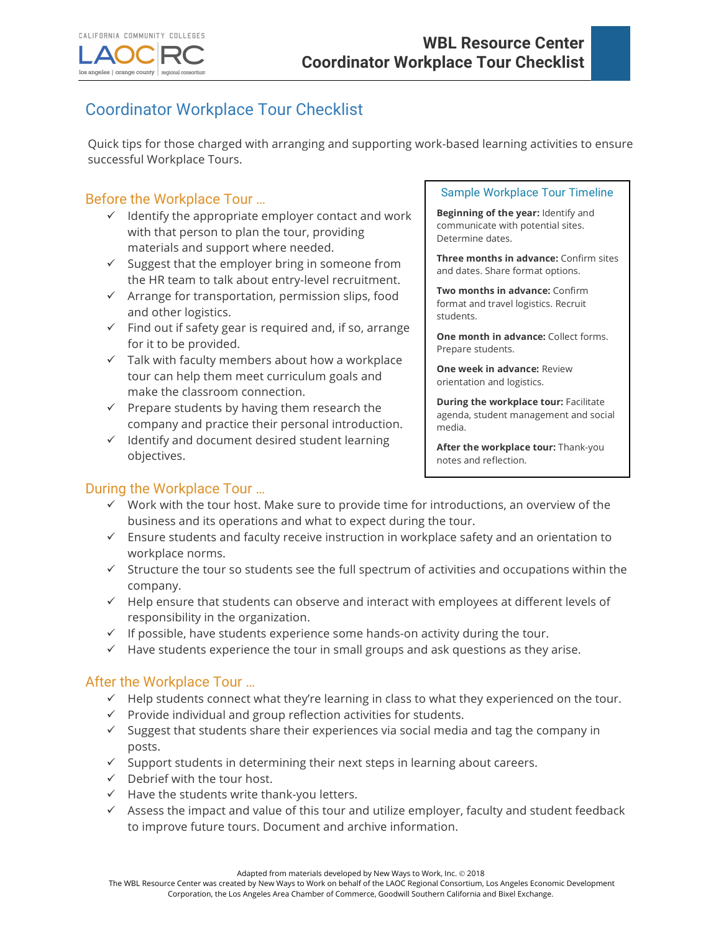

# Coordinator Workplace Tour Checklist

Quick tips for those charged with arranging and supporting work-based learning activities to ensure successful Workplace Tours.

# Before the Workplace Tour …

- $\checkmark$  Identify the appropriate employer contact and work with that person to plan the tour, providing materials and support where needed.
- $\checkmark$  Suggest that the employer bring in someone from the HR team to talk about entry-level recruitment.
- $\checkmark$  Arrange for transportation, permission slips, food and other logistics.
- $\checkmark$  Find out if safety gear is required and, if so, arrange for it to be provided.
- $\checkmark$  Talk with faculty members about how a workplace tour can help them meet curriculum goals and make the classroom connection.
- $\checkmark$  Prepare students by having them research the company and practice their personal introduction.
- $\checkmark$  Identify and document desired student learning objectives.

#### Sample Workplace Tour Timeline

**Beginning of the year:** Identify and communicate with potential sites. Determine dates.

**Three months in advance:** Confirm sites and dates. Share format options.

**Two months in advance:** Confirm format and travel logistics. Recruit students.

**One month in advance:** Collect forms. Prepare students.

**One week in advance:** Review orientation and logistics.

**During the workplace tour:** Facilitate agenda, student management and social media.

**After the workplace tour:** Thank-you notes and reflection.

## During the Workplace Tour …

- $\checkmark$  Work with the tour host. Make sure to provide time for introductions, an overview of the business and its operations and what to expect during the tour.
- $\checkmark$  Ensure students and faculty receive instruction in workplace safety and an orientation to workplace norms.
- $\checkmark$  Structure the tour so students see the full spectrum of activities and occupations within the company.
- $\checkmark$  Help ensure that students can observe and interact with employees at different levels of responsibility in the organization.
- $\checkmark$  If possible, have students experience some hands-on activity during the tour.
- $\checkmark$  Have students experience the tour in small groups and ask questions as they arise.

### After the Workplace Tour …

- $\checkmark$  Help students connect what they're learning in class to what they experienced on the tour.
- $\checkmark$  Provide individual and group reflection activities for students.
- $\checkmark$  Suggest that students share their experiences via social media and tag the company in posts.
- $\checkmark$  Support students in determining their next steps in learning about careers.
- $\checkmark$  Debrief with the tour host.
- $\checkmark$  Have the students write thank-you letters.
- $\checkmark$  Assess the impact and value of this tour and utilize employer, faculty and student feedback to improve future tours. Document and archive information.

Adapted from materials developed by New Ways to Work, Inc. @ 2018

The WBL Resource Center was created by New Ways to Work on behalf of the LAOC Regional Consortium, Los Angeles Economic Development Corporation, the Los Angeles Area Chamber of Commerce, Goodwill Southern California and Bixel Exchange.